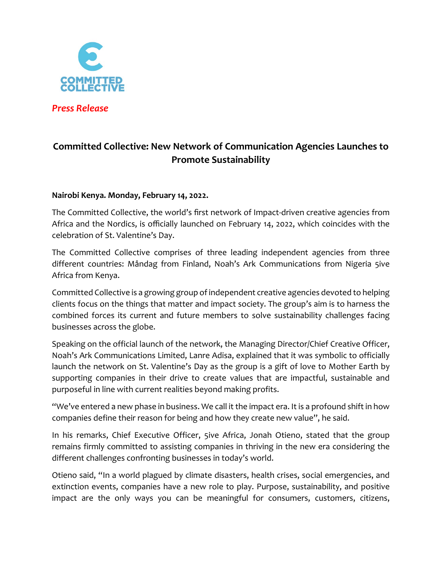

*Press Release*

# **Committed Collective: New Network of Communication Agencies Launches to Promote Sustainability**

## **Nairobi Kenya. Monday, February 14, 2022.**

The Committed Collective, the world's first network of Impact-driven creative agencies from Africa and the Nordics, is officially launched on February 14, 2022, which coincides with the celebration of St. Valentine's Day.

The Committed Collective comprises of three leading independent agencies from three different countries: Måndag from Finland, Noah's Ark Communications from Nigeria 5ive Africa from Kenya.

Committed Collective is a growing group of independent creative agencies devoted to helping clients focus on the things that matter and impact society. The group's aim is to harness the combined forces its current and future members to solve sustainability challenges facing businesses across the globe.

Speaking on the official launch of the network, the Managing Director/Chief Creative Officer, Noah's Ark Communications Limited, Lanre Adisa, explained that it was symbolic to officially launch the network on St. Valentine's Day as the group is a gift of love to Mother Earth by supporting companies in their drive to create values that are impactful, sustainable and purposeful in line with current realities beyond making profits.

"We've entered a new phase in business. We call it the impact era. It is a profound shift in how companies define their reason for being and how they create new value", he said.

In his remarks, Chief Executive Officer, 5ive Africa, Jonah Otieno, stated that the group remains firmly committed to assisting companies in thriving in the new era considering the different challenges confronting businesses in today's world.

Otieno said, "In a world plagued by climate disasters, health crises, social emergencies, and extinction events, companies have a new role to play. Purpose, sustainability, and positive impact are the only ways you can be meaningful for consumers, customers, citizens,